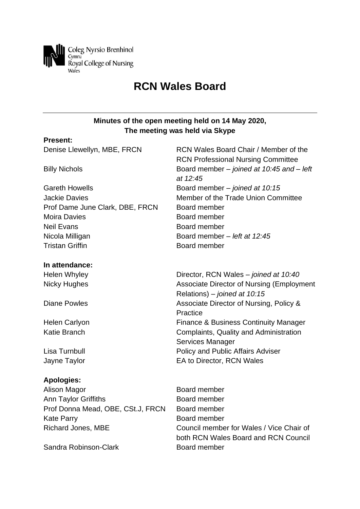

# **RCN Wales Board**

# **Minutes of the open meeting held on 14 May 2020, The meeting was held via Skype**

#### **Present:**

| Denise Llewellyn, MBE, FRCN       | RCN Wales Board Chair / Member of the<br><b>RCN Professional Nursing Committee</b> |
|-----------------------------------|------------------------------------------------------------------------------------|
| <b>Billy Nichols</b>              | Board member – joined at 10:45 and – left<br>at 12:45                              |
| <b>Gareth Howells</b>             | Board member - joined at 10:15                                                     |
| <b>Jackie Davies</b>              | Member of the Trade Union Committee                                                |
| Prof Dame June Clark, DBE, FRCN   | Board member                                                                       |
| <b>Moira Davies</b>               | Board member                                                                       |
| <b>Neil Evans</b>                 | Board member                                                                       |
| Nicola Milligan                   | Board member - left at 12:45                                                       |
| <b>Tristan Griffin</b>            | Board member                                                                       |
| In attendance:                    |                                                                                    |
| <b>Helen Whyley</b>               | Director, RCN Wales – joined at 10:40                                              |
| <b>Nicky Hughes</b>               | <b>Associate Director of Nursing (Employment</b>                                   |
|                                   | Relations) - joined at 10:15                                                       |
| <b>Diane Powles</b>               | Associate Director of Nursing, Policy &                                            |
|                                   | Practice                                                                           |
| <b>Helen Carlyon</b>              | <b>Finance &amp; Business Continuity Manager</b>                                   |
| <b>Katie Branch</b>               | Complaints, Quality and Administration                                             |
|                                   | Services Manager                                                                   |
| Lisa Turnbull                     | Policy and Public Affairs Adviser                                                  |
| Jayne Taylor                      | EA to Director, RCN Wales                                                          |
| <b>Apologies:</b>                 |                                                                                    |
| Alison Magor                      | Board member                                                                       |
| Ann Taylor Griffiths              | Board member                                                                       |
| Prof Donna Mead, OBE, CSt.J, FRCN | Board member                                                                       |
| <b>Kate Parry</b>                 | Board member                                                                       |
| <b>Richard Jones, MBE</b>         | Council member for Wales / Vice Chair of<br>both RCN Wales Board and RCN Council   |
| Sandra Robinson-Clark             | Board member                                                                       |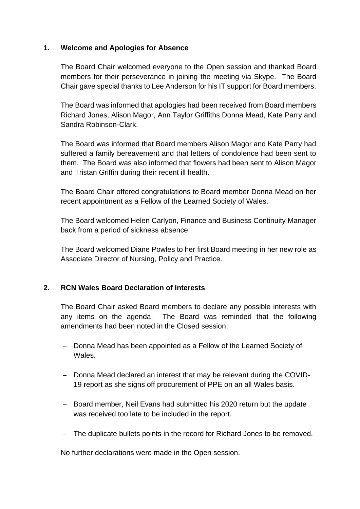## **1. Welcome and Apologies for Absence**

The Board Chair welcomed everyone to the Open session and thanked Board members for their perseverance in joining the meeting via Skype. The Board Chair gave special thanks to Lee Anderson for his IT support for Board members.

The Board was informed that apologies had been received from Board members Richard Jones, Alison Magor, Ann Taylor Griffiths Donna Mead, Kate Parry and Sandra Robinson-Clark.

The Board was informed that Board members Alison Magor and Kate Parry had suffered a family bereavement and that letters of condolence had been sent to them. The Board was also informed that flowers had been sent to Alison Magor and Tristan Griffin during their recent ill health.

The Board Chair offered congratulations to Board member Donna Mead on her recent appointment as a Fellow of the Learned Society of Wales.

The Board welcomed Helen Carlyon, Finance and Business Continuity Manager back from a period of sickness absence.

The Board welcomed Diane Powles to her first Board meeting in her new role as Associate Director of Nursing, Policy and Practice.

## **2. RCN Wales Board Declaration of Interests**

The Board Chair asked Board members to declare any possible interests with any items on the agenda. The Board was reminded that the following amendments had been noted in the Closed session:

- − Donna Mead has been appointed as a Fellow of the Learned Society of Wales.
- − Donna Mead declared an interest that may be relevant during the COVID-19 report as she signs off procurement of PPE on an all Wales basis.
- − Board member, Neil Evans had submitted his 2020 return but the update was received too late to be included in the report.
- − The duplicate bullets points in the record for Richard Jones to be removed.

No further declarations were made in the Open session.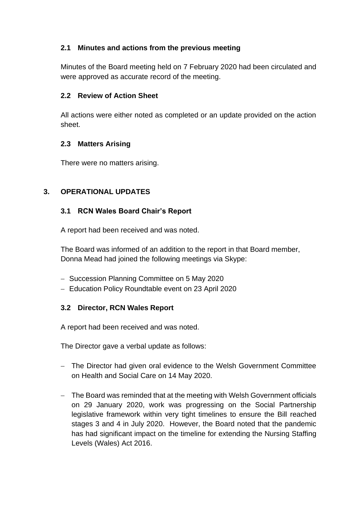# **2.1 Minutes and actions from the previous meeting**

Minutes of the Board meeting held on 7 February 2020 had been circulated and were approved as accurate record of the meeting.

## **2.2 Review of Action Sheet**

All actions were either noted as completed or an update provided on the action sheet.

# **2.3 Matters Arising**

There were no matters arising.

# **3. OPERATIONAL UPDATES**

## **3.1 RCN Wales Board Chair's Report**

A report had been received and was noted.

The Board was informed of an addition to the report in that Board member, Donna Mead had joined the following meetings via Skype:

- − Succession Planning Committee on 5 May 2020
- − Education Policy Roundtable event on 23 April 2020

## **3.2 Director, RCN Wales Report**

A report had been received and was noted.

The Director gave a verbal update as follows:

- − The Director had given oral evidence to the Welsh Government Committee on Health and Social Care on 14 May 2020.
- − The Board was reminded that at the meeting with Welsh Government officials on 29 January 2020, work was progressing on the Social Partnership legislative framework within very tight timelines to ensure the Bill reached stages 3 and 4 in July 2020. However, the Board noted that the pandemic has had significant impact on the timeline for extending the Nursing Staffing Levels (Wales) Act 2016.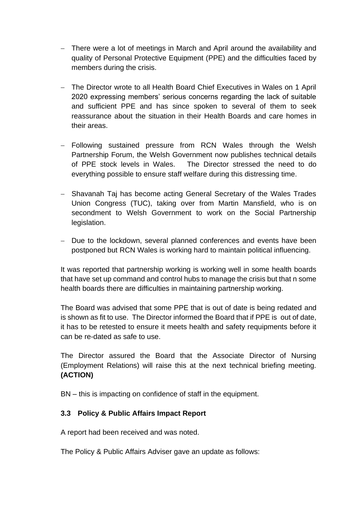- − There were a lot of meetings in March and April around the availability and quality of Personal Protective Equipment (PPE) and the difficulties faced by members during the crisis.
- − The Director wrote to all Health Board Chief Executives in Wales on 1 April 2020 expressing members' serious concerns regarding the lack of suitable and sufficient PPE and has since spoken to several of them to seek reassurance about the situation in their Health Boards and care homes in their areas.
- − Following sustained pressure from RCN Wales through the Welsh Partnership Forum, the Welsh Government now publishes technical details of PPE stock levels in Wales. The Director stressed the need to do everything possible to ensure staff welfare during this distressing time.
- − Shavanah Taj has become acting General Secretary of the Wales Trades Union Congress (TUC), taking over from Martin Mansfield, who is on secondment to Welsh Government to work on the Social Partnership legislation.
- − Due to the lockdown, several planned conferences and events have been postponed but RCN Wales is working hard to maintain political influencing.

It was reported that partnership working is working well in some health boards that have set up command and control hubs to manage the crisis but that n some health boards there are difficulties in maintaining partnership working.

The Board was advised that some PPE that is out of date is being redated and is shown as fit to use. The Director informed the Board that if PPE is out of date, it has to be retested to ensure it meets health and safety requipments before it can be re-dated as safe to use.

The Director assured the Board that the Associate Director of Nursing (Employment Relations) will raise this at the next technical briefing meeting. **(ACTION)**

BN – this is impacting on confidence of staff in the equipment.

## **3.3 Policy & Public Affairs Impact Report**

A report had been received and was noted.

The Policy & Public Affairs Adviser gave an update as follows: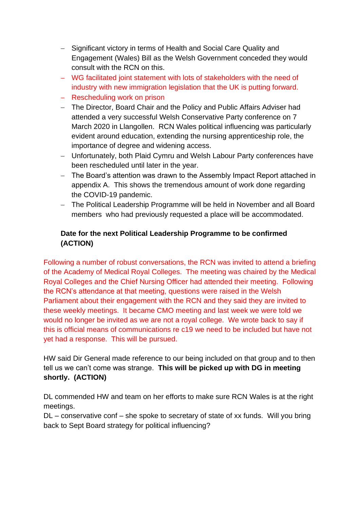- − Significant victory in terms of Health and Social Care Quality and Engagement (Wales) Bill as the Welsh Government conceded they would consult with the RCN on this.
- − WG facilitated joint statement with lots of stakeholders with the need of industry with new immigration legislation that the UK is putting forward.
- − Rescheduling work on prison
- − The Director, Board Chair and the Policy and Public Affairs Adviser had attended a very successful Welsh Conservative Party conference on 7 March 2020 in Llangollen. RCN Wales political influencing was particularly evident around education, extending the nursing apprenticeship role, the importance of degree and widening access.
- − Unfortunately, both Plaid Cymru and Welsh Labour Party conferences have been rescheduled until later in the year.
- − The Board's attention was drawn to the Assembly Impact Report attached in appendix A. This shows the tremendous amount of work done regarding the COVID-19 pandemic.
- − The Political Leadership Programme will be held in November and all Board members who had previously requested a place will be accommodated.

# **Date for the next Political Leadership Programme to be confirmed (ACTION)**

Following a number of robust conversations, the RCN was invited to attend a briefing of the Academy of Medical Royal Colleges. The meeting was chaired by the Medical Royal Colleges and the Chief Nursing Officer had attended their meeting. Following the RCN's attendance at that meeting, questions were raised in the Welsh Parliament about their engagement with the RCN and they said they are invited to these weekly meetings. It became CMO meeting and last week we were told we would no longer be invited as we are not a royal college. We wrote back to say if this is official means of communications re c19 we need to be included but have not yet had a response. This will be pursued.

HW said Dir General made reference to our being included on that group and to then tell us we can't come was strange. **This will be picked up with DG in meeting shortly. (ACTION)**

DL commended HW and team on her efforts to make sure RCN Wales is at the right meetings.

DL – conservative conf – she spoke to secretary of state of xx funds. Will you bring back to Sept Board strategy for political influencing?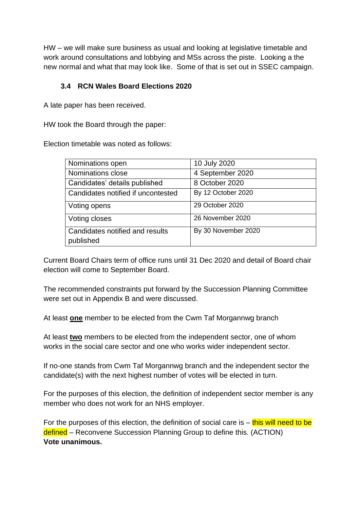HW – we will make sure business as usual and looking at legislative timetable and work around consultations and lobbying and MSs across the piste. Looking a the new normal and what that may look like. Some of that is set out in SSEC campaign.

## **3.4 RCN Wales Board Elections 2020**

A late paper has been received.

HW took the Board through the paper:

Election timetable was noted as follows:

| Nominations open                             | 10 July 2020        |
|----------------------------------------------|---------------------|
| Nominations close                            | 4 September 2020    |
| Candidates' details published                | 8 October 2020      |
| Candidates notified if uncontested           | By 12 October 2020  |
| Voting opens                                 | 29 October 2020     |
| Voting closes                                | 26 November 2020    |
| Candidates notified and results<br>published | By 30 November 2020 |

Current Board Chairs term of office runs until 31 Dec 2020 and detail of Board chair election will come to September Board.

The recommended constraints put forward by the Succession Planning Committee were set out in Appendix B and were discussed.

At least **one** member to be elected from the Cwm Taf Morgannwg branch

At least **two** members to be elected from the independent sector, one of whom works in the social care sector and one who works wider independent sector.

If no-one stands from Cwm Taf Morgannwg branch and the independent sector the candidate(s) with the next highest number of votes will be elected in turn.

For the purposes of this election, the definition of independent sector member is any member who does not work for an NHS employer.

For the purposes of this election, the definition of social care is  $-$  this will need to be defined – Reconvene Succession Planning Group to define this. (ACTION) **Vote unanimous.**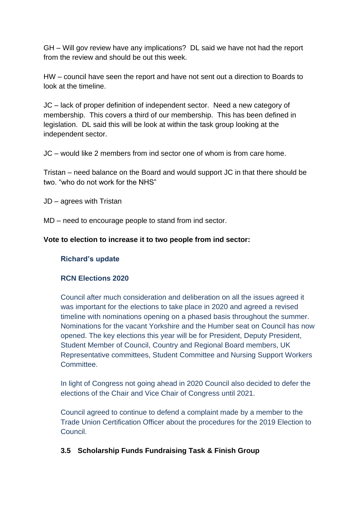GH – Will gov review have any implications? DL said we have not had the report from the review and should be out this week.

HW – council have seen the report and have not sent out a direction to Boards to look at the timeline.

JC – lack of proper definition of independent sector. Need a new category of membership. This covers a third of our membership. This has been defined in legislation. DL said this will be look at within the task group looking at the independent sector.

JC – would like 2 members from ind sector one of whom is from care home.

Tristan – need balance on the Board and would support JC in that there should be two. "who do not work for the NHS"

JD – agrees with Tristan

MD – need to encourage people to stand from ind sector.

#### **Vote to election to increase it to two people from ind sector:**

#### **Richard's update**

#### **RCN Elections 2020**

Council after much consideration and deliberation on all the issues agreed it was important for the elections to take place in 2020 and agreed a revised timeline with nominations opening on a phased basis throughout the summer. Nominations for the vacant Yorkshire and the Humber seat on Council has now opened. The key elections this year will be for President, Deputy President, Student Member of Council, Country and Regional Board members, UK Representative committees, Student Committee and Nursing Support Workers Committee.

In light of Congress not going ahead in 2020 Council also decided to defer the elections of the Chair and Vice Chair of Congress until 2021.

Council agreed to continue to defend a complaint made by a member to the Trade Union Certification Officer about the procedures for the 2019 Election to Council.

## **3.5 Scholarship Funds Fundraising Task & Finish Group**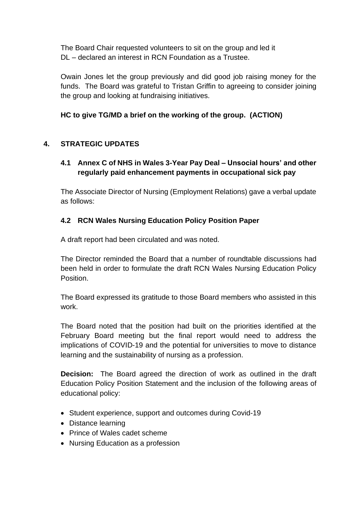The Board Chair requested volunteers to sit on the group and led it DL – declared an interest in RCN Foundation as a Trustee.

Owain Jones let the group previously and did good job raising money for the funds. The Board was grateful to Tristan Griffin to agreeing to consider joining the group and looking at fundraising initiatives.

# **HC to give TG/MD a brief on the working of the group. (ACTION)**

# **4. STRATEGIC UPDATES**

# **4.1 Annex C of NHS in Wales 3-Year Pay Deal – Unsocial hours' and other regularly paid enhancement payments in occupational sick pay**

The Associate Director of Nursing (Employment Relations) gave a verbal update as follows:

# **4.2 RCN Wales Nursing Education Policy Position Paper**

A draft report had been circulated and was noted.

The Director reminded the Board that a number of roundtable discussions had been held in order to formulate the draft RCN Wales Nursing Education Policy Position.

The Board expressed its gratitude to those Board members who assisted in this work.

The Board noted that the position had built on the priorities identified at the February Board meeting but the final report would need to address the implications of COVID-19 and the potential for universities to move to distance learning and the sustainability of nursing as a profession.

**Decision:** The Board agreed the direction of work as outlined in the draft Education Policy Position Statement and the inclusion of the following areas of educational policy:

- Student experience, support and outcomes during Covid-19
- Distance learning
- Prince of Wales cadet scheme
- Nursing Education as a profession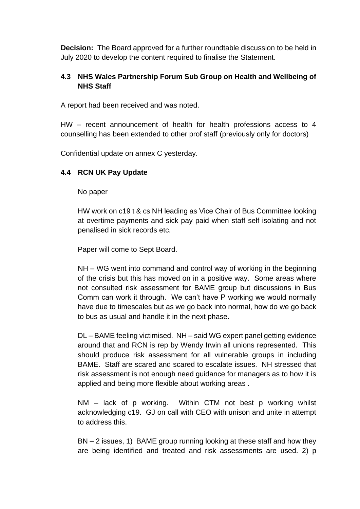**Decision:** The Board approved for a further roundtable discussion to be held in July 2020 to develop the content required to finalise the Statement.

# **4.3 NHS Wales Partnership Forum Sub Group on Health and Wellbeing of NHS Staff**

A report had been received and was noted.

HW – recent announcement of health for health professions access to 4 counselling has been extended to other prof staff (previously only for doctors)

Confidential update on annex C yesterday.

# **4.4 RCN UK Pay Update**

#### No paper

HW work on c19 t & cs NH leading as Vice Chair of Bus Committee looking at overtime payments and sick pay paid when staff self isolating and not penalised in sick records etc.

Paper will come to Sept Board.

NH – WG went into command and control way of working in the beginning of the crisis but this has moved on in a positive way. Some areas where not consulted risk assessment for BAME group but discussions in Bus Comm can work it through. We can't have P working we would normally have due to timescales but as we go back into normal, how do we go back to bus as usual and handle it in the next phase.

DL – BAME feeling victimised. NH – said WG expert panel getting evidence around that and RCN is rep by Wendy Irwin all unions represented. This should produce risk assessment for all vulnerable groups in including BAME. Staff are scared and scared to escalate issues. NH stressed that risk assessment is not enough need guidance for managers as to how it is applied and being more flexible about working areas .

NM – lack of p working. Within CTM not best p working whilst acknowledging c19. GJ on call with CEO with unison and unite in attempt to address this.

BN – 2 issues, 1) BAME group running looking at these staff and how they are being identified and treated and risk assessments are used. 2) p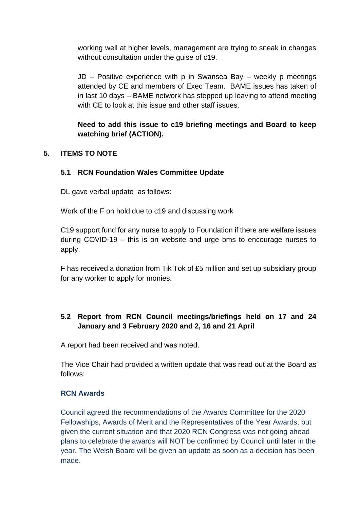working well at higher levels, management are trying to sneak in changes without consultation under the guise of c19.

JD – Positive experience with p in Swansea Bay – weekly p meetings attended by CE and members of Exec Team. BAME issues has taken of in last 10 days – BAME network has stepped up leaving to attend meeting with CF to look at this issue and other staff issues.

**Need to add this issue to c19 briefing meetings and Board to keep watching brief (ACTION).**

# **5. ITEMS TO NOTE**

## **5.1 RCN Foundation Wales Committee Update**

DL gave verbal update as follows:

Work of the F on hold due to c19 and discussing work

C19 support fund for any nurse to apply to Foundation if there are welfare issues during COVID-19 – this is on website and urge bms to encourage nurses to apply.

F has received a donation from Tik Tok of £5 million and set up subsidiary group for any worker to apply for monies.

# **5.2 Report from RCN Council meetings/briefings held on 17 and 24 January and 3 February 2020 and 2, 16 and 21 April**

A report had been received and was noted.

The Vice Chair had provided a written update that was read out at the Board as follows:

## **RCN Awards**

Council agreed the recommendations of the Awards Committee for the 2020 Fellowships, Awards of Merit and the Representatives of the Year Awards, but given the current situation and that 2020 RCN Congress was not going ahead plans to celebrate the awards will NOT be confirmed by Council until later in the year. The Welsh Board will be given an update as soon as a decision has been made.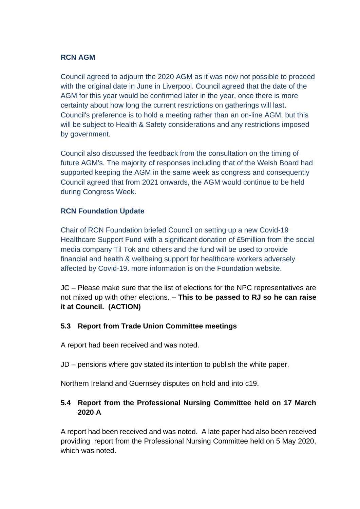#### **RCN AGM**

Council agreed to adjourn the 2020 AGM as it was now not possible to proceed with the original date in June in Liverpool. Council agreed that the date of the AGM for this year would be confirmed later in the year, once there is more certainty about how long the current restrictions on gatherings will last. Council's preference is to hold a meeting rather than an on-line AGM, but this will be subject to Health & Safety considerations and any restrictions imposed by government.

Council also discussed the feedback from the consultation on the timing of future AGM's. The majority of responses including that of the Welsh Board had supported keeping the AGM in the same week as congress and consequently Council agreed that from 2021 onwards, the AGM would continue to be held during Congress Week.

## **RCN Foundation Update**

Chair of RCN Foundation briefed Council on setting up a new Covid-19 Healthcare Support Fund with a significant donation of £5million from the social media company Til Tok and others and the fund will be used to provide financial and health & wellbeing support for healthcare workers adversely affected by Covid-19. more information is on the Foundation website.

JC – Please make sure that the list of elections for the NPC representatives are not mixed up with other elections. – **This to be passed to RJ so he can raise it at Council. (ACTION)**

## **5.3 Report from Trade Union Committee meetings**

A report had been received and was noted.

JD – pensions where gov stated its intention to publish the white paper.

Northern Ireland and Guernsey disputes on hold and into c19.

# **5.4 Report from the Professional Nursing Committee held on 17 March 2020 A**

A report had been received and was noted. A late paper had also been received providing report from the Professional Nursing Committee held on 5 May 2020, which was noted.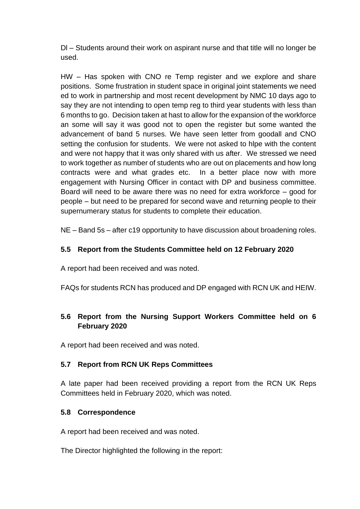Dl – Students around their work on aspirant nurse and that title will no longer be used.

HW – Has spoken with CNO re Temp register and we explore and share positions. Some frustration in student space in original joint statements we need ed to work in partnership and most recent development by NMC 10 days ago to say they are not intending to open temp reg to third year students with less than 6 months to go. Decision taken at hast to allow for the expansion of the workforce an some will say it was good not to open the register but some wanted the advancement of band 5 nurses. We have seen letter from goodall and CNO setting the confusion for students. We were not asked to hlpe with the content and were not happy that it was only shared with us after. We stressed we need to work together as number of students who are out on placements and how long contracts were and what grades etc. In a better place now with more engagement with Nursing Officer in contact with DP and business committee. Board will need to be aware there was no need for extra workforce – good for people – but need to be prepared for second wave and returning people to their supernumerary status for students to complete their education.

NE – Band 5s – after c19 opportunity to have discussion about broadening roles.

# **5.5 Report from the Students Committee held on 12 February 2020**

A report had been received and was noted.

FAQs for students RCN has produced and DP engaged with RCN UK and HEIW.

# **5.6 Report from the Nursing Support Workers Committee held on 6 February 2020**

A report had been received and was noted.

# **5.7 Report from RCN UK Reps Committees**

A late paper had been received providing a report from the RCN UK Reps Committees held in February 2020, which was noted.

# **5.8 Correspondence**

A report had been received and was noted.

The Director highlighted the following in the report: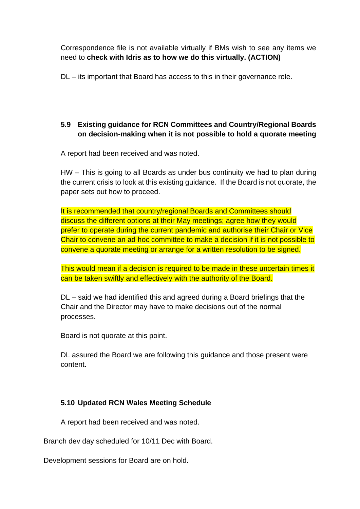Correspondence file is not available virtually if BMs wish to see any items we need to **check with Idris as to how we do this virtually. (ACTION)**

DL – its important that Board has access to this in their governance role.

# **5.9 Existing guidance for RCN Committees and Country/Regional Boards on decision-making when it is not possible to hold a quorate meeting**

A report had been received and was noted.

HW – This is going to all Boards as under bus continuity we had to plan during the current crisis to look at this existing guidance. If the Board is not quorate, the paper sets out how to proceed.

It is recommended that country/regional Boards and Committees should discuss the different options at their May meetings; agree how they would prefer to operate during the current pandemic and authorise their Chair or Vice Chair to convene an ad hoc committee to make a decision if it is not possible to convene a quorate meeting or arrange for a written resolution to be signed.

This would mean if a decision is required to be made in these uncertain times it can be taken swiftly and effectively with the authority of the Board.

DL – said we had identified this and agreed during a Board briefings that the Chair and the Director may have to make decisions out of the normal processes.

Board is not quorate at this point.

DL assured the Board we are following this guidance and those present were content.

# **5.10 Updated RCN Wales Meeting Schedule**

A report had been received and was noted.

Branch dev day scheduled for 10/11 Dec with Board.

Development sessions for Board are on hold.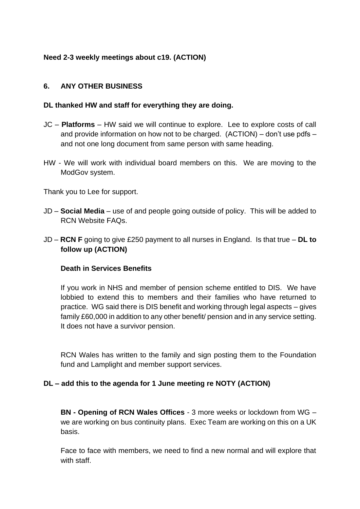## **Need 2-3 weekly meetings about c19. (ACTION)**

#### **6. ANY OTHER BUSINESS**

#### **DL thanked HW and staff for everything they are doing.**

- JC **Platforms**  HW said we will continue to explore. Lee to explore costs of call and provide information on how not to be charged. (ACTION) – don't use pdfs – and not one long document from same person with same heading.
- HW We will work with individual board members on this. We are moving to the ModGov system.

Thank you to Lee for support.

- JD **Social Media** use of and people going outside of policy. This will be added to RCN Website FAQs.
- JD **RCN F** going to give £250 payment to all nurses in England. Is that true **DL to follow up (ACTION)**

#### **Death in Services Benefits**

If you work in NHS and member of pension scheme entitled to DIS. We have lobbied to extend this to members and their families who have returned to practice. WG said there is DIS benefit and working through legal aspects – gives family £60,000 in addition to any other benefit/ pension and in any service setting. It does not have a survivor pension.

RCN Wales has written to the family and sign posting them to the Foundation fund and Lamplight and member support services.

#### **DL – add this to the agenda for 1 June meeting re NOTY (ACTION)**

**BN - Opening of RCN Wales Offices** - 3 more weeks or lockdown from WG – we are working on bus continuity plans. Exec Team are working on this on a UK basis.

Face to face with members, we need to find a new normal and will explore that with staff.